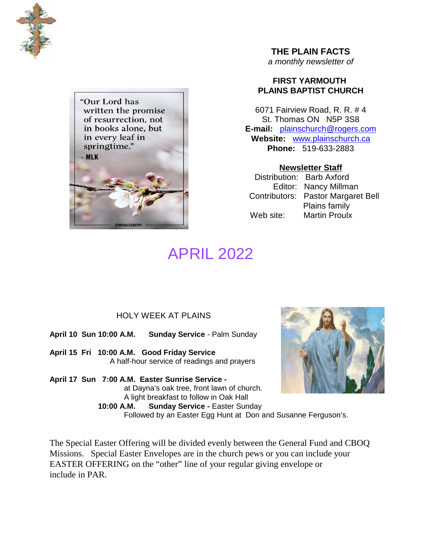



**THE PLAIN FACTS**

*a monthly newsletter of*

#### **FIRST YARMOUTH PLAINS BAPTIST CHURCH**

6071 Fairview Road, R. R. # 4 St. Thomas ON N5P 3S8 **E-mail:** plainschurch@rogers.com **Website:** www.plainschurch.ca **Phone:** 519-633-2883

**Newsletter Staff** Distribution: Barb Axford Editor: Nancy Millman Contributors: Pastor Margaret Bell Plains family Web site: Martin Proulx

# APRIL 2022

#### HOLY WEEK AT PLAINS

**April 10 Sun 10:00 A.M. Sunday Service** - Palm Sunday

**April 15 Fri 10:00 A.M. Good Friday Service** A half-hour service of readings and prayers

**April 17 Sun 7:00 A.M. Easter Sunrise Service**  at Dayna's oak tree, front lawn of church. A light breakfast to follow in Oak Hall **10:00 A.M. Sunday Service -** Easter Sunday

Followed by an Easter Egg Hunt at Don and Susanne Ferguson's.

The Special Easter Offering will be divided evenly between the General Fund and CBOQ Missions. Special Easter Envelopes are in the church pews or you can include your EASTER OFFERING on the "other" line of your regular giving envelope or include in PAR.

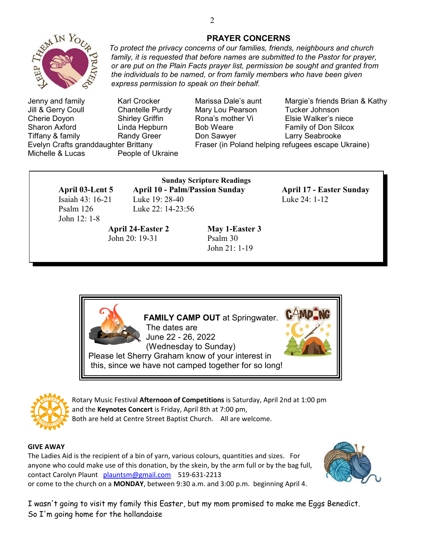

Jenny and family Karl Crocker Marissa Dale's aunt Margie's friends Brian & Kathy Jill & Gerry Coull Chantelle Purdy Mary Lou Pearson Tucker Johnson Cherie Doyon Shirley Griffin Rona's mother Vi Elsie Walker's niece Sharon Axford **Example Hepata Linda Hepburn** Bob Weare **Family of Don Silcox** Tiffany & family **Randy Greer** Don Sawyer **Comban Larry Seabrooke** Evelyn Crafts granddaughter Brittany Fraser (in Poland helping refugees escape Ukraine) Michelle & Lucas People of Ukraine

# Isaiah 43: 16-21 Luke 19: 28-40 Luke 24: 1-12 Psalm 126 Luke 22: 14-23:56 John 12: 1-8

**April 24-Easter 2 May 1-Easter 3** John 20: 19-31 Psalm 30

### **Sunday Scripture Readings April 03-Lent 5 April 10 - Palm/Passion Sunday April 17 - Easter Sunday**

*express permission to speak on their behalf.*

John 21: 1-19





Rotary Music Festival **Afternoon of Competitions** is Saturday, April 2nd at 1:00 pm and the **Keynotes Concert** is Friday, April 8th at 7:00 pm, Both are held at Centre Street Baptist Church. All are welcome.

#### **GIVE AWAY**

The Ladies Aid is the recipient of a bin of yarn, various colours, quantities and sizes. For anyone who could make use of this donation, by the skein, by the arm full or by the bag full, contact Carolyn Plaunt plauntsm@gmail.com 519-631-2213 or come to the church on a **MONDAY**, between 9:30 a.m. and 3:00 p.m. beginning April 4.



I wasn't going to visit my family this Easter, but my mom promised to make me Eggs Benedict. So I'm going home for the hollandaise

*family, it is requested that before names are submitted to the Pastor for prayer, or are put on the Plain Facts prayer list, permission be sought and granted from the individuals to be named, or from family members who have been given*

2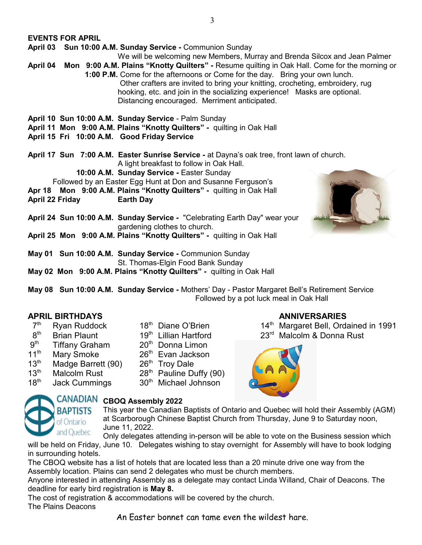**EVENTS FOR APRIL**

**April 03 Sun 10:00 A.M. Sunday Service -** Communion Sunday

We will be welcoming new Members, Murray and Brenda Silcox and Jean Palmer

**April 04 Mon 9:00 A.M. Plains "Knotty Quilters" -** Resume quilting in Oak Hall. Come for the morning or **1:00 P.M.** Come for the afternoons or Come for the day. Bring your own lunch. Other crafters are invited to bring your knitting, crocheting, embroidery, rug hooking, etc. and join in the socializing experience! Masks are optional. Distancing encouraged. Merriment anticipated.

- **April 10 Sun 10:00 A.M. Sunday Service** Palm Sunday
- **April 11 Mon 9:00 A.M. Plains "Knotty Quilters" -** quilting in Oak Hall
- **April 15 Fri 10:00 A.M. Good Friday Service**

**April 17 Sun 7:00 A.M. Easter Sunrise Service -** at Dayna's oak tree, front lawn of church. A light breakfast to follow in Oak Hall.

**10:00 A.M. Sunday Service -** Easter Sunday

Followed by an Easter Egg Hunt at Don and Susanne Ferguson's

**Apr 18 Mon 9:00 A.M. Plains "Knotty Quilters" -** quilting in Oak Hall

- **April 22 Friday Earth Day**
- **April 24 Sun 10:00 A.M. Sunday Service -** "Celebrating Earth Day" wear your gardening clothes to church.
- **April 25 Mon 9:00 A.M. Plains "Knotty Quilters" -** quilting in Oak Hall
- **May 01 Sun 10:00 A.M. Sunday Service -** Communion Sunday St. Thomas-Elgin Food Bank Sunday
- **May 02 Mon 9:00 A.M. Plains "Knotty Quilters" -** quilting in Oak Hall

**May 08 Sun 10:00 A.M. Sunday Service -** Mothers' Day - Pastor Margaret Bell's Retirement Service Followed by a pot luck meal in Oak Hall

#### **APRIL BIRTHDAYS ANNIVERSARIES**

- $7<sup>th</sup>$
- $8<sup>th</sup>$
- $9<sup>th</sup>$ Tiffany Graham 20<sup>th</sup> Donna Limon
- 
- 11<sup>th</sup> Mary Smoke 26<sup>th</sup> Evan Jackson<br>13<sup>th</sup> Madge Barrett (90) 26<sup>th</sup> Troy Dale 13<sup>th</sup> Madge Barrett (90)<br>13<sup>th</sup> Malcolm Rust
- 
- 
- 
- 
- 
- 
- 
- $13<sup>th</sup>$  Malcolm Rust 28<sup>th</sup> Pauline Duffy (90)<br> $18<sup>th</sup>$  Jack Cummings 30<sup>th</sup> Michael Johnson
	- Jack Cummings 30<sup>th</sup> Michael Johnson

- Ryan Ruddock 18<sup>th</sup> Diane O'Brien 14<sup>th</sup> Margaret Bell, Ordained in 1991
- Brian Plaunt 19<sup>th</sup> Lillian Hartford 23<sup>rd</sup> Malcolm & Donna Rust





# CANADIAN CBOQ Assembly 2022

This year the Canadian Baptists of Ontario and Quebec will hold their Assembly (AGM) at Scarborough Chinese Baptist Church from Thursday, June 9 to Saturday noon, June 11, 2022.

Only delegates attending in-person will be able to vote on the Business session which will be held on Friday, June 10. Delegates wishing to stay overnight for Assembly will have to book lodging in surrounding hotels.

The CBOQ website has a list of hotels that are located less than a 20 minute drive one way from the Assembly location. Plains can send 2 delegates who must be church members.

Anyone interested in attending Assembly as a delegate may contact Linda Willand, Chair of Deacons. The deadline for early bird registration is **May 8.**

The cost of registration & accommodations will be covered by the church. The Plains Deacons

An Easter bonnet can tame even the wildest hare.

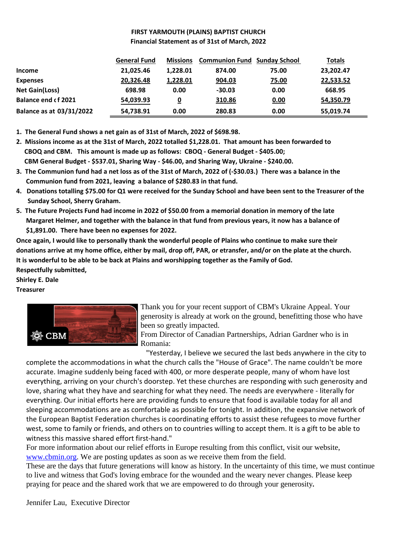#### **FIRST YARMOUTH (PLAINS) BAPTIST CHURCH Financial Statement as of 31st of March, 2022**

|                                 | <b>General Fund</b> | <b>Missions</b>         | <b>Communion Fund Sunday School</b> |       | <b>Totals</b> |
|---------------------------------|---------------------|-------------------------|-------------------------------------|-------|---------------|
| <b>Income</b>                   | 21,025.46           | 1,228.01                | 874.00                              | 75.00 | 23,202.47     |
| <b>Expenses</b>                 | 20,326.48           | 1,228.01                | 904.03                              | 75.00 | 22,533.52     |
| <b>Net Gain(Loss)</b>           | 698.98              | 0.00                    | $-30.03$                            | 0.00  | 668.95        |
| <b>Balance end cf 2021</b>      | 54,039.93           | $\overline{\mathbf{0}}$ | 310.86                              | 0.00  | 54,350.79     |
| <b>Balance as at 03/31/2022</b> | 54,738.91           | 0.00                    | 280.83                              | 0.00  | 55,019.74     |

**1. The General Fund shows a net gain as of 31st of March, 2022 of \$698.98.**

- **2. Missions income as at the 31st of March, 2022 totalled \$1,228.01. That amount has been forwarded to CBOQ and CBM. This amount is made up as follows: CBOQ - General Budget - \$405.00; CBM General Budget - \$537.01, Sharing Way - \$46.00, and Sharing Way, Ukraine - \$240.00.**
- **3. The Communion fund had a net loss as of the 31st of March, 2022 of (-\$30.03.) There was a balance in the Communion fund from 2021, leaving a balance of \$280.83 in that fund.**
- **4. Donations totalling \$75.00 for Q1 were received for the Sunday School and have been sent to the Treasurer of the Sunday School, Sherry Graham.**
- **5. The Future Projects Fund had income in 2022 of \$50.00 from a memorial donation in memory of the late Margaret Helmer, and together with the balance in that fund from previous years, it now has a balance of \$1,891.00. There have been no expenses for 2022.**

**Once again, I would like to personally thank the wonderful people of Plains who continue to make sure their donations arrive at my home office, either by mail, drop off, PAR, or etransfer, and/or on the plate at the church. It is wonderful to be able to be back at Plains and worshipping together as the Family of God. Respectfully submitted,**

**Shirley E. Dale**

#### **Treasurer**



Thank you for your recent support of CBM's Ukraine Appeal. Your generosity is already at work on the ground, benefitting those who have been so greatly impacted.

From Director of Canadian Partnerships, Adrian Gardner who is in Romania:

"Yesterday, I believe we secured the last beds anywhere in the city to

complete the accommodations in what the church calls the "House of Grace". The name couldn't be more accurate. Imagine suddenly being faced with 400, or more desperate people, many of whom have lost everything, arriving on your church's doorstep. Yet these churches are responding with such generosity and love, sharing what they have and searching for what they need. The needs are everywhere - literally for everything. Our initial efforts here are providing funds to ensure that food is available today for all and sleeping accommodations are as comfortable as possible for tonight. In addition, the expansive network of the European Baptist Federation churches is coordinating efforts to assist these refugees to move further west, some to family or friends, and others on to countries willing to accept them. It is a gift to be able to witness this massive shared effort first-hand."

For more information about our relief efforts in Europe resulting from this conflict, visit our website, www.cbmin.org. We are posting updates as soon as we receive them from the field.

These are the days that future generations will know as history. In the uncertainty of this time, we must continue to live and witness that God's loving embrace for the wounded and the weary never changes. Please keep praying for peace and the shared work that we are empowered to do through your generosity**.**

Jennifer Lau, Executive Director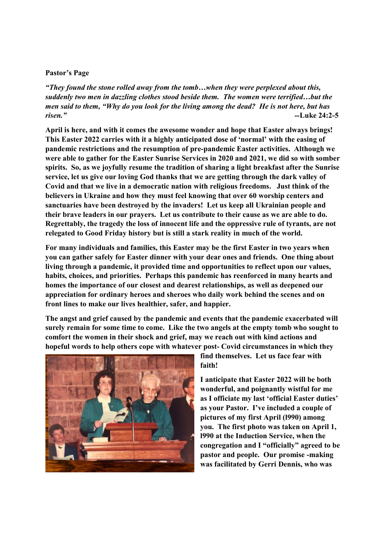#### **Pastor's Page**

*"They found the stone rolled away from the tomb…when they were perplexed about this, suddenly two men in dazzling clothes stood beside them. The women were terrified…but the men said to them, "Why do you look for the living among the dead? He is not here, but has risen." --***Luke 24:2-5**

**April is here, and with it comes the awesome wonder and hope that Easter always brings! This Easter 2022 carries with it a highly anticipated dose of 'normal' with the easing of pandemic restrictions and the resumption of pre-pandemic Easter activities. Although we were able to gather for the Easter Sunrise Services in 2020 and 2021, we did so with somber spirits. So, as we joyfully resume the tradition of sharing a light breakfast after the Sunrise service, let us give our loving God thanks that we are getting through the dark valley of Covid and that we live in a democratic nation with religious freedoms. Just think of the believers in Ukraine and how they must feel knowing that over 60 worship centers and sanctuaries have been destroyed by the invaders! Let us keep all Ukrainian people and their brave leaders in our prayers. Let us contribute to their cause as we are able to do. Regrettably, the tragedy the loss of innocent life and the oppressive rule of tyrants, are not relegated to Good Friday history but is still a stark reality in much of the world.**

**For many individuals and families, this Easter may be the first Easter in two years when you can gather safely for Easter dinner with your dear ones and friends. One thing about living through a pandemic, it provided time and opportunities to reflect upon our values, habits, choices, and priorities. Perhaps this pandemic has reenforced in many hearts and homes the importance of our closest and dearest relationships, as well as deepened our appreciation for ordinary heroes and sheroes who daily work behind the scenes and on front lines to make our lives healthier, safer, and happier.**

**The angst and grief caused by the pandemic and events that the pandemic exacerbated will surely remain for some time to come. Like the two angels at the empty tomb who sought to comfort the women in their shock and grief, may we reach out with kind actions and hopeful words to help others cope with whatever post- Covid circumstances in which they**



**find themselves. Let us face fear with faith!**

**I anticipate that Easter 2022 will be both wonderful, and poignantly wistful for me as I officiate my last 'official Easter duties' as your Pastor. I've included a couple of pictures of my first April (l990) among you. The first photo was taken on April 1, l990 at the Induction Service, when the congregation and I "officially" agreed to be pastor and people. Our promise -making was facilitated by Gerri Dennis, who was**